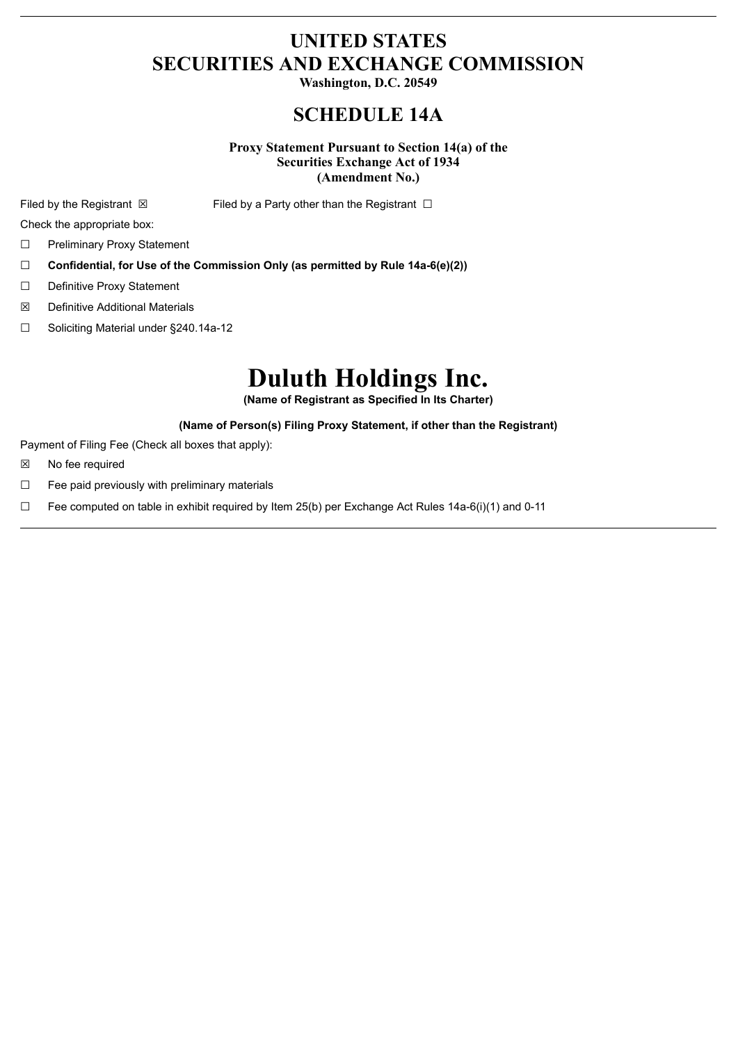## **UNITED STATES SECURITIES AND EXCHANGE COMMISSION**

**Washington, D.C. 20549**

## **SCHEDULE 14A**

**Proxy Statement Pursuant to Section 14(a) of the Securities Exchange Act of 1934 (Amendment No.)**

Filed by the Registrant  $\boxtimes$  Filed by a Party other than the Registrant  $\Box$ 

Check the appropriate box:

- ☐ Preliminary Proxy Statement
- ☐ **Confidential, for Use of the Commission Only (as permitted by Rule 14a-6(e)(2))**
- ☐ Definitive Proxy Statement
- ☒ Definitive Additional Materials
- ☐ Soliciting Material under §240.14a-12

# **Duluth Holdings Inc.**

**(Name of Registrant as Specified In Its Charter)**

#### **(Name of Person(s) Filing Proxy Statement, if other than the Registrant)**

Payment of Filing Fee (Check all boxes that apply):

- ☒ No fee required
- ☐ Fee paid previously with preliminary materials
- □ Fee computed on table in exhibit required by Item 25(b) per Exchange Act Rules  $14a-6(i)(1)$  and 0-11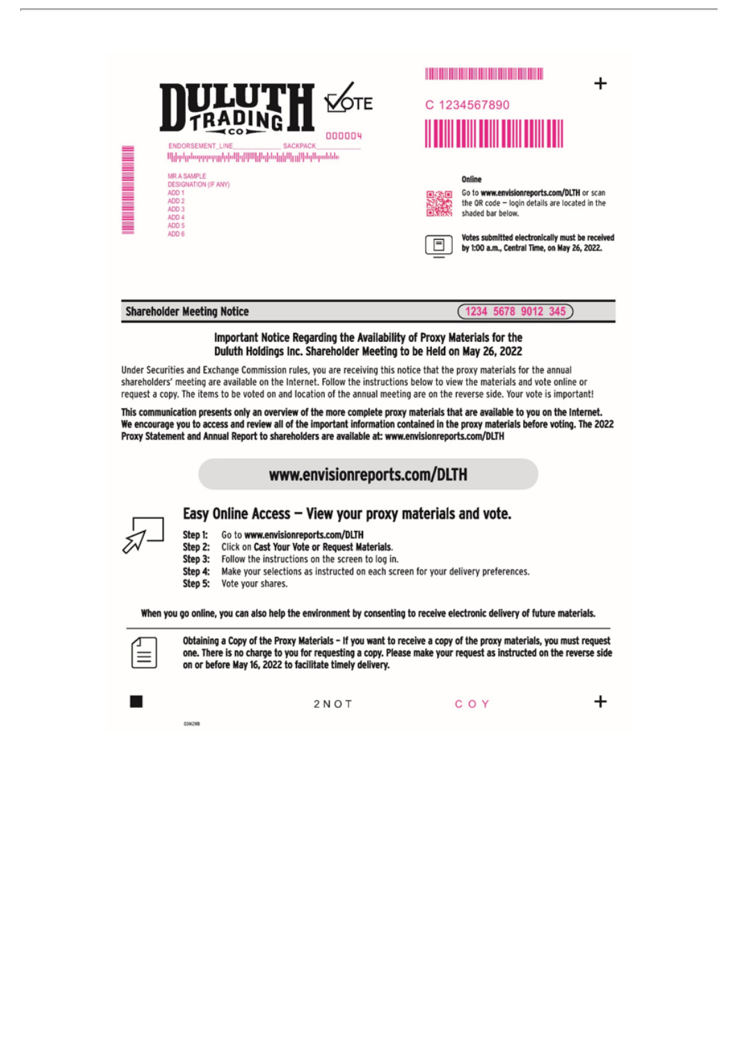

#### Important Notice Regarding the Availability of Proxy Materials for the Duluth Holdings Inc. Shareholder Meeting to be Held on May 26, 2022

Under Securities and Exchange Commission rules, you are receiving this notice that the proxy materials for the annual shareholders' meeting are available on the Internet. Follow the instructions below to view the materials and vote online or request a copy. The items to be voted on and location of the annual meeting are on the reverse side. Your vote is important!

This communication presents only an overview of the more complete proxy materials that are available to you on the Internet. We encourage you to access and review all of the important information contained in the proxy materials before voting. The 2022 Proxy Statement and Annual Report to shareholders are available at: www.envisionreports.com/DLTH

### www.envisionreports.com/DLTH



#### Easy Online Access - View your proxy materials and vote.

- Step 1: Go to www.envisionreports.com/DLTH
- Step 2: Click on Cast Your Vote or Request Materials.
- Step 3: Follow the instructions on the screen to log in.
- Step 4: Make your selections as instructed on each screen for your delivery preferences.
- Step 5: Vote your shares.

When you go online, you can also help the environment by consenting to receive electronic delivery of future materials.



Obtaining a Copy of the Proxy Materials - If you want to receive a copy of the proxy materials, you must request one. There is no charge to you for requesting a copy. Please make your request as instructed on the reverse side on or before May 16, 2022 to facilitate timely delivery.



**03M2W** 

 $2NOT$ 

COY

+